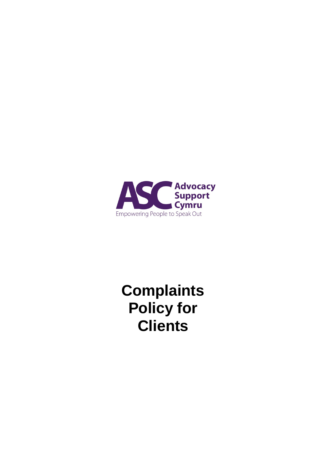

**Complaints Policy for Clients**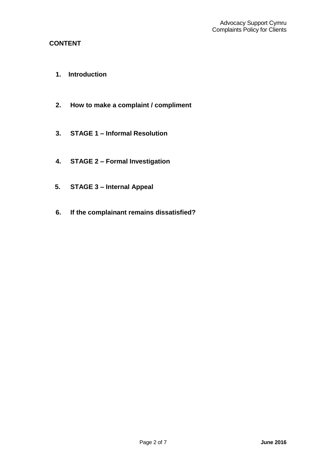# **CONTENT**

- **1. Introduction**
- **2. How to make a complaint / compliment**
- **3. STAGE 1 – Informal Resolution**
- **4. STAGE 2 – Formal Investigation**
- **5. STAGE 3 – Internal Appeal**
- **6. If the complainant remains dissatisfied?**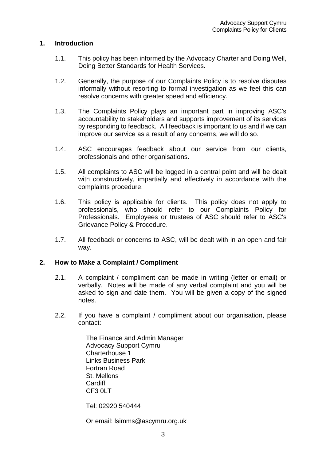### **1. Introduction**

- 1.1. This policy has been informed by the Advocacy Charter and Doing Well, Doing Better Standards for Health Services.
- 1.2. Generally, the purpose of our Complaints Policy is to resolve disputes informally without resorting to formal investigation as we feel this can resolve concerns with greater speed and efficiency.
- 1.3. The Complaints Policy plays an important part in improving ASC's accountability to stakeholders and supports improvement of its services by responding to feedback. All feedback is important to us and if we can improve our service as a result of any concerns, we will do so.
- 1.4. ASC encourages feedback about our service from our clients, professionals and other organisations.
- 1.5. All complaints to ASC will be logged in a central point and will be dealt with constructively, impartially and effectively in accordance with the complaints procedure.
- 1.6. This policy is applicable for clients. This policy does not apply to professionals, who should refer to our Complaints Policy for Professionals. Employees or trustees of ASC should refer to ASC's Grievance Policy & Procedure.
- 1.7. All feedback or concerns to ASC, will be dealt with in an open and fair way.

### **2. How to Make a Complaint / Compliment**

- 2.1. A complaint / compliment can be made in writing (letter or email) or verbally. Notes will be made of any verbal complaint and you will be asked to sign and date them. You will be given a copy of the signed notes.
- 2.2. If you have a complaint / compliment about our organisation, please contact:

The Finance and Admin Manager Advocacy Support Cymru Charterhouse 1 Links Business Park Fortran Road St. Mellons **Cardiff** CF3 0LT

Tel: 02920 540444

Or email: lsimms@ascymru.org.uk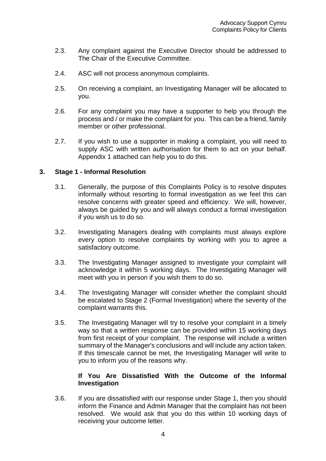- 2.3. Any complaint against the Executive Director should be addressed to The Chair of the Executive Committee.
- 2.4. ASC will not process anonymous complaints.
- 2.5. On receiving a complaint, an Investigating Manager will be allocated to you.
- 2.6. For any complaint you may have a supporter to help you through the process and / or make the complaint for you. This can be a friend, family member or other professional.
- 2.7. If you wish to use a supporter in making a complaint, you will need to supply ASC with written authorisation for them to act on your behalf. Appendix 1 attached can help you to do this.

#### **3. Stage 1 - Informal Resolution**

- 3.1. Generally, the purpose of this Complaints Policy is to resolve disputes informally without resorting to formal investigation as we feel this can resolve concerns with greater speed and efficiency. We will, however, always be guided by you and will always conduct a formal investigation if you wish us to do so.
- 3.2. Investigating Managers dealing with complaints must always explore every option to resolve complaints by working with you to agree a satisfactory outcome.
- 3.3. The Investigating Manager assigned to investigate your complaint will acknowledge it within 5 working days. The Investigating Manager will meet with you in person if you wish them to do so.
- 3.4. The Investigating Manager will consider whether the complaint should be escalated to Stage 2 (Formal Investigation) where the severity of the complaint warrants this.
- 3.5. The Investigating Manager will try to resolve your complaint in a timely way so that a written response can be provided within 15 working days from first receipt of your complaint. The response will include a written summary of the Manager's conclusions and will include any action taken. If this timescale cannot be met, the Investigating Manager will write to you to inform you of the reasons why.

### **If You Are Dissatisfied With the Outcome of the Informal Investigation**

3.6. If you are dissatisfied with our response under Stage 1, then you should inform the Finance and Admin Manager that the complaint has not been resolved. We would ask that you do this within 10 working days of receiving your outcome letter.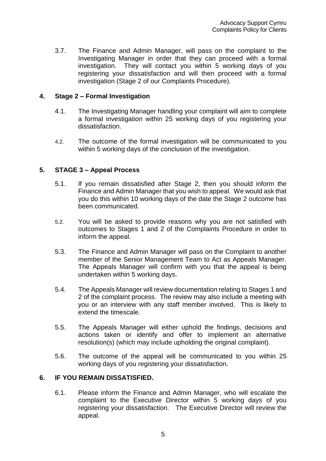3.7. The Finance and Admin Manager, will pass on the complaint to the Investigating Manager in order that they can proceed with a formal investigation. They will contact you within 5 working days of you registering your dissatisfaction and will then proceed with a formal investigation (Stage 2 of our Complaints Procedure).

### **4. Stage 2 – Formal Investigation**

- 4.1. The Investigating Manager handling your complaint will aim to complete a formal investigation within 25 working days of you registering your dissatisfaction.
- 4.2. The outcome of the formal investigation will be communicated to you within 5 working days of the conclusion of the investigation.

## **5. STAGE 3 – Appeal Process**

- 5.1. If you remain dissatisfied after Stage 2, then you should inform the Finance and Admin Manager that you wish to appeal. We would ask that you do this within 10 working days of the date the Stage 2 outcome has been communicated.
- 5.2. You will be asked to provide reasons why you are not satisfied with outcomes to Stages 1 and 2 of the Complaints Procedure in order to inform the appeal.
- 5.3. The Finance and Admin Manager will pass on the Complaint to another member of the Senior Management Team to Act as Appeals Manager. The Appeals Manager will confirm with you that the appeal is being undertaken within 5 working days.
- 5.4. The Appeals Manager will review documentation relating to Stages 1 and 2 of the complaint process. The review may also include a meeting with you or an interview with any staff member involved. This is likely to extend the timescale.
- 5.5. The Appeals Manager will either uphold the findings, decisions and actions taken or identify and offer to implement an alternative resolution(s) (which may include upholding the original complaint).
- 5.6. The outcome of the appeal will be communicated to you within 25 working days of you registering your dissatisfaction.

## **6. IF YOU REMAIN DISSATISFIED.**

6.1. Please inform the Finance and Admin Manager, who will escalate the complaint to the Executive Director within 5 working days of you registering your dissatisfaction. The Executive Director will review the appeal.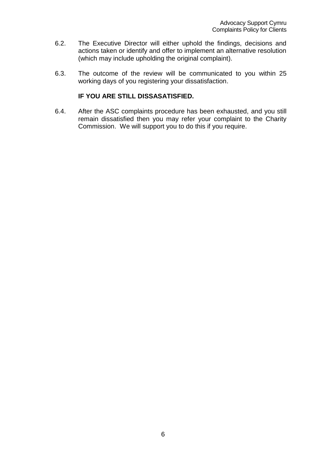- 6.2. The Executive Director will either uphold the findings, decisions and actions taken or identify and offer to implement an alternative resolution (which may include upholding the original complaint).
- 6.3. The outcome of the review will be communicated to you within 25 working days of you registering your dissatisfaction.

### **IF YOU ARE STILL DISSASATISFIED.**

6.4. After the ASC complaints procedure has been exhausted, and you still remain dissatisfied then you may refer your complaint to the Charity Commission. We will support you to do this if you require.